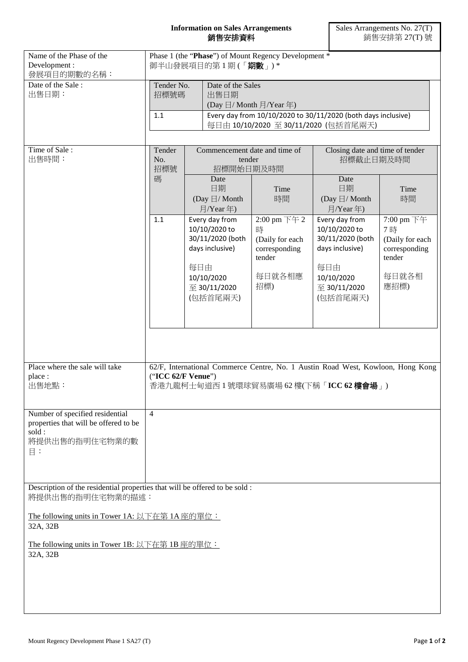## **Information on Sales Arrangements** 銷售安排資料

| Name of the Phase of the<br>Development:<br>發展項目的期數的名稱:                                                                  | Phase 1 (the "Phase") of Mount Regency Development *<br>御半山發展項目的第1期(「期數」)* |     |                                                                                                                                                                                  |                                                                       |                                                                                                             |                                                                      |  |
|--------------------------------------------------------------------------------------------------------------------------|----------------------------------------------------------------------------|-----|----------------------------------------------------------------------------------------------------------------------------------------------------------------------------------|-----------------------------------------------------------------------|-------------------------------------------------------------------------------------------------------------|----------------------------------------------------------------------|--|
| Date of the Sale:<br>出售日期:                                                                                               | Tender No.<br>招標號碼<br>$1.1$                                                |     | Date of the Sales<br>出售日期<br>(Day $\boxdot$ / Month $\boxdot$ / Year 年)<br>Every day from 10/10/2020 to 30/11/2020 (both days inclusive)<br>每日由 10/10/2020 至 30/11/2020 (包括首尾兩天) |                                                                       |                                                                                                             |                                                                      |  |
| Time of Sale:<br>出售時間:                                                                                                   | Tender<br>No.<br>招標號<br>碼<br>1.1                                           |     | Commencement date and time of<br>tender<br>招標開始日期及時間<br>Date<br>日期<br>Time                                                                                                       |                                                                       | Closing date and time of tender<br>招標截止日期及時間<br>Date<br>日期<br>Time                                          |                                                                      |  |
|                                                                                                                          |                                                                            |     | (Day $\boxdot$ / Month<br>月/Year年)<br>Every day from<br>10/10/2020 to<br>30/11/2020 (both<br>days inclusive)                                                                     | 時間<br>2:00 pm 下午 2<br>時<br>(Daily for each<br>corresponding<br>tender | (Day $\boxdot/$ Month<br>月/Year年)<br>Every day from<br>10/10/2020 to<br>30/11/2020 (both<br>days inclusive) | 時間<br>7:00 pm 下午<br>7時<br>(Daily for each<br>corresponding<br>tender |  |
|                                                                                                                          |                                                                            | 每日由 | 10/10/2020<br>至 30/11/2020<br>(包括首尾兩天)                                                                                                                                           | 每日就各相應<br>招標)                                                         | 每日由<br>10/10/2020<br>至 30/11/2020<br>(包括首尾兩天)                                                               | 每日就各相<br>應招標)                                                        |  |
| Place where the sale will take<br>place:                                                                                 | ("ICC 62/F Venue")                                                         |     |                                                                                                                                                                                  |                                                                       | 62/F, International Commerce Centre, No. 1 Austin Road West, Kowloon, Hong Kong                             |                                                                      |  |
| 出售地點:                                                                                                                    | 香港九龍柯士甸道西1號環球貿易廣場 62 樓(下稱「ICC 62 樓會場」)                                     |     |                                                                                                                                                                                  |                                                                       |                                                                                                             |                                                                      |  |
| Number of specified residential<br>properties that will be offered to be<br>sold:<br>將提供出售的指明住宅物業的數<br>$\Xi$ :           | $\overline{4}$                                                             |     |                                                                                                                                                                                  |                                                                       |                                                                                                             |                                                                      |  |
| Description of the residential properties that will be offered to be sold :<br>將提供出售的指明住宅物業的描述:                          |                                                                            |     |                                                                                                                                                                                  |                                                                       |                                                                                                             |                                                                      |  |
| The following units in Tower 1A: 以下在第 1A 座的單位:<br>32A, 32B<br>The following units in Tower 1B: 以下在第 1B 座的單位:<br>32A, 32B |                                                                            |     |                                                                                                                                                                                  |                                                                       |                                                                                                             |                                                                      |  |
|                                                                                                                          |                                                                            |     |                                                                                                                                                                                  |                                                                       |                                                                                                             |                                                                      |  |